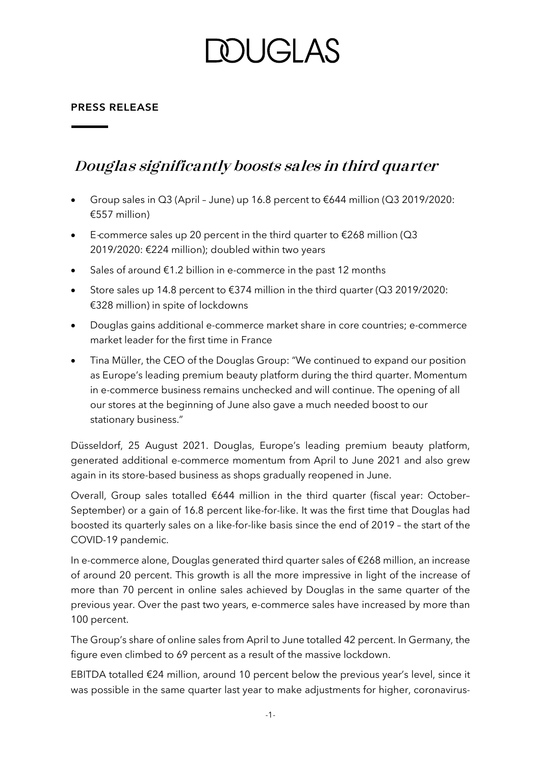# DUGI AS

#### **PRESS RELEASE**

### **Douglas significantly boosts sales in third quarter**

- Group sales in Q3 (April June) up 16.8 percent to €644 million (Q3 2019/2020: €557 million)
- E**-**commerce sales up 20 percent in the third quarter to €268 million (Q3 2019/2020: €224 million); doubled within two years
- Sales of around  $\epsilon$ 1.2 billion in e-commerce in the past 12 months
- Store sales up 14.8 percent to €374 million in the third quarter (Q3 2019/2020: €328 million) in spite of lockdowns
- Douglas gains additional e-commerce market share in core countries; e-commerce market leader for the first time in France
- Tina Müller, the CEO of the Douglas Group: "We continued to expand our position as Europe's leading premium beauty platform during the third quarter. Momentum in e-commerce business remains unchecked and will continue. The opening of all our stores at the beginning of June also gave a much needed boost to our stationary business."

Düsseldorf, 25 August 2021. Douglas, Europe's leading premium beauty platform, generated additional e-commerce momentum from April to June 2021 and also grew again in its store-based business as shops gradually reopened in June.

Overall, Group sales totalled €644 million in the third quarter (fiscal year: October– September) or a gain of 16.8 percent like-for-like. It was the first time that Douglas had boosted its quarterly sales on a like-for-like basis since the end of 2019 – the start of the COVID-19 pandemic.

In e-commerce alone, Douglas generated third quarter sales of €268 million, an increase of around 20 percent. This growth is all the more impressive in light of the increase of more than 70 percent in online sales achieved by Douglas in the same quarter of the previous year. Over the past two years, e-commerce sales have increased by more than 100 percent.

The Group's share of online sales from April to June totalled 42 percent. In Germany, the figure even climbed to 69 percent as a result of the massive lockdown.

EBITDA totalled €24 million, around 10 percent below the previous year's level, since it was possible in the same quarter last year to make adjustments for higher, coronavirus-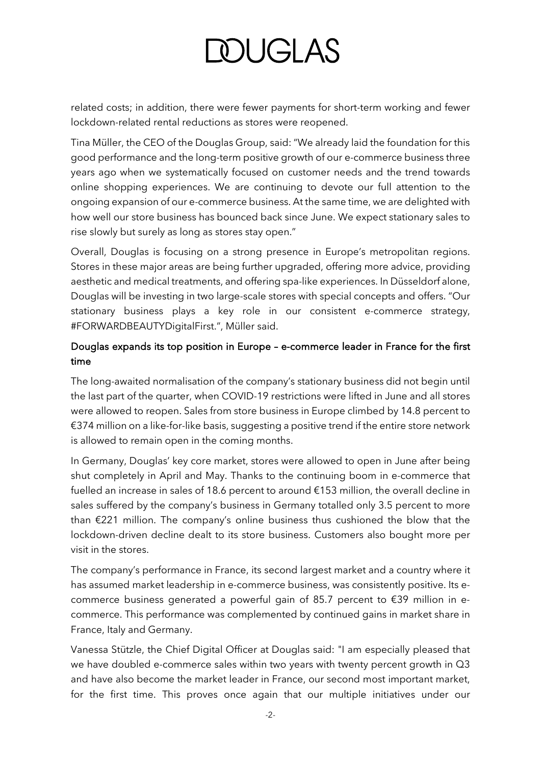# **DOUGLAS**

related costs; in addition, there were fewer payments for short-term working and fewer lockdown-related rental reductions as stores were reopened.

Tina Müller, the CEO of the Douglas Group, said: "We already laid the foundation for this good performance and the long-term positive growth of our e-commerce business three years ago when we systematically focused on customer needs and the trend towards online shopping experiences. We are continuing to devote our full attention to the ongoing expansion of our e-commerce business. At the same time, we are delighted with how well our store business has bounced back since June. We expect stationary sales to rise slowly but surely as long as stores stay open."

Overall, Douglas is focusing on a strong presence in Europe's metropolitan regions. Stores in these major areas are being further upgraded, offering more advice, providing aesthetic and medical treatments, and offering spa-like experiences. In Düsseldorf alone, Douglas will be investing in two large-scale stores with special concepts and offers. "Our stationary business plays a key role in our consistent e-commerce strategy, #FORWARDBEAUTYDigitalFirst.", Müller said.

### Douglas expands its top position in Europe – e-commerce leader in France for the first time

The long-awaited normalisation of the company's stationary business did not begin until the last part of the quarter, when COVID-19 restrictions were lifted in June and all stores were allowed to reopen. Sales from store business in Europe climbed by 14.8 percent to €374 million on a like-for-like basis, suggesting a positive trend if the entire store network is allowed to remain open in the coming months.

In Germany, Douglas' key core market, stores were allowed to open in June after being shut completely in April and May. Thanks to the continuing boom in e-commerce that fuelled an increase in sales of 18.6 percent to around €153 million, the overall decline in sales suffered by the company's business in Germany totalled only 3.5 percent to more than €221 million. The company's online business thus cushioned the blow that the lockdown-driven decline dealt to its store business. Customers also bought more per visit in the stores.

The company's performance in France, its second largest market and a country where it has assumed market leadership in e-commerce business, was consistently positive. Its ecommerce business generated a powerful gain of 85.7 percent to €39 million in ecommerce. This performance was complemented by continued gains in market share in France, Italy and Germany.

Vanessa Stützle, the Chief Digital Officer at Douglas said: "I am especially pleased that we have doubled e-commerce sales within two years with twenty percent growth in Q3 and have also become the market leader in France, our second most important market, for the first time. This proves once again that our multiple initiatives under our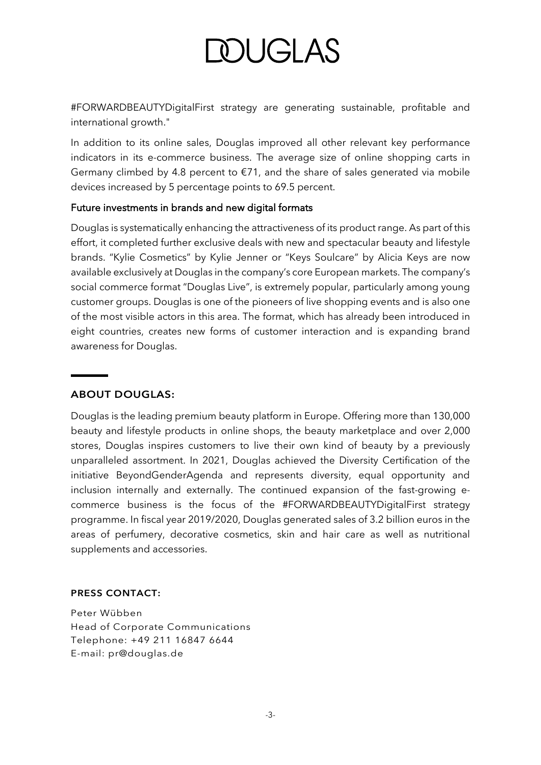# DUGLAS

#FORWARDBEAUTYDigitalFirst strategy are generating sustainable, profitable and international growth."

In addition to its online sales, Douglas improved all other relevant key performance indicators in its e-commerce business. The average size of online shopping carts in Germany climbed by 4.8 percent to  $\epsilon$ 71, and the share of sales generated via mobile devices increased by 5 percentage points to 69.5 percent.

#### Future investments in brands and new digital formats

Douglas is systematically enhancing the attractiveness of its product range. As part of this effort, it completed further exclusive deals with new and spectacular beauty and lifestyle brands. "Kylie Cosmetics" by Kylie Jenner or "Keys Soulcare" by Alicia Keys are now available exclusively at Douglas in the company's core European markets. The company's social commerce format "Douglas Live", is extremely popular, particularly among young customer groups. Douglas is one of the pioneers of live shopping events and is also one of the most visible actors in this area. The format, which has already been introduced in eight countries, creates new forms of customer interaction and is expanding brand awareness for Douglas.

### **ABOUT DOUGLAS:**

Douglas is the leading premium beauty platform in Europe. Offering more than 130,000 beauty and lifestyle products in online shops, the beauty marketplace and over 2,000 stores, Douglas inspires customers to live their own kind of beauty by a previously unparalleled assortment. In 2021, Douglas achieved the Diversity Certification of the initiative BeyondGenderAgenda and represents diversity, equal opportunity and inclusion internally and externally. The continued expansion of the fast-growing ecommerce business is the focus of the #FORWARDBEAUTYDigitalFirst strategy programme. In fiscal year 2019/2020, Douglas generated sales of 3.2 billion euros in the areas of perfumery, decorative cosmetics, skin and hair care as well as nutritional supplements and accessories.

#### **PRESS CONTACT:**

Peter Wübben Head of Corporate Communications Telephone: +49 211 16847 6644 E-mail: pr@douglas.de